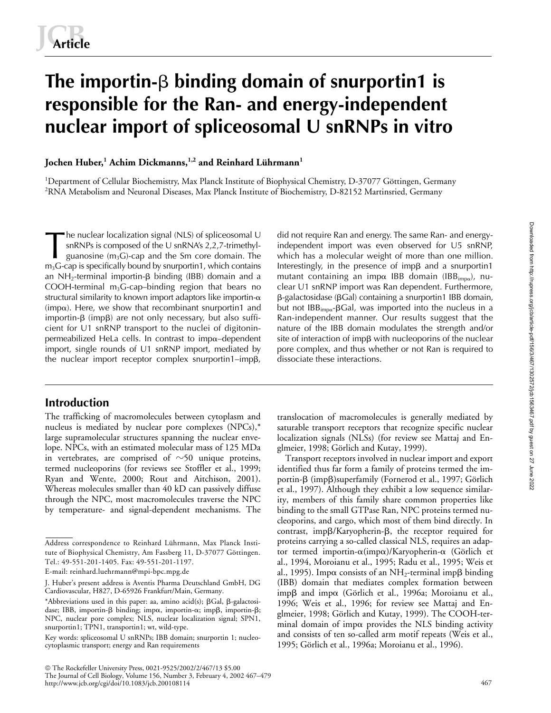# The importin- $\beta$  **binding domain of snurportin1** is **responsible for the Ran- and energy-independent nuclear import of spliceosomal U snRNPs in vitro**

## **Jochen Huber,<sup>1</sup> Achim Dickmanns,1,2 and Reinhard Lührmann1**

<sup>1</sup>Department of Cellular Biochemistry, Max Planck Institute of Biophysical Chemistry, D-37077 Göttingen, Germany  $^2$ RNA Metabolism and Neuronal Diseases, Max Planck Institute of Biochemistry, D-82152 Martinsried, Germany

he nuclear localization signal (NLS) of spliceosomal U snRNPs is composed of the U snRNA's 2,2,7-trimethylguanosine  $(m_3G)$ -cap and the Sm core domain. The  $m<sub>3</sub>G$ -cap is specifically bound by snurportin1, which contains an NH<sub>2</sub>-terminal importin- $\beta$  binding (IBB) domain and a COOH-terminal  $m_3$ G-cap–binding region that bears no structural similarity to known import adaptors like importin- $\alpha$ (imp $\alpha$ ). Here, we show that recombinant snurportin1 and  $importin-\beta$  (imp $\beta$ ) are not only necessary, but also sufficient for U1 snRNP transport to the nuclei of digitoninpermeabilized HeLa cells. In contrast to imp $\alpha$ -dependent import, single rounds of U1 snRNP import, mediated by the nuclear import receptor complex snurportin1-imp $\beta$ , The nuclear localization signal (NLS) of spliceosomal U did not require Ran and energy. The same Ran- and energy-<br>snRNPs is composed of the U snRNA's 2,2,7-trimethyl-<br>guanosine (m<sub>3</sub>G)-cap and the Sm core domain. The which

## **Introduction**

The trafficking of macromolecules between cytoplasm and nucleus is mediated by nuclear pore complexes (NPCs),\* large supramolecular structures spanning the nuclear envelope. NPCs, with an estimated molecular mass of 125 MDa in vertebrates, are comprised of  $\sim$ 50 unique proteins, termed nucleoporins (for reviews see Stoffler et al., 1999; Ryan and Wente, 2000; Rout and Aitchison, 2001). Whereas molecules smaller than 40 kD can passively diffuse through the NPC, most macromolecules traverse the NPC by temperature- and signal-dependent mechanisms. The

 The Rockefeller University Press, 0021-9525/2002/2/467/13 \$5.00 The Journal of Cell Biology, Volume 156, Number 3, February 4, 2002 467–479 http://www.jcb.org/cgi/doi/10.1083/jcb.200108114

independent import was even observed for U5 snRNP, which has a molecular weight of more than one million. Interestingly, in the presence of imp $\beta$  and a snurportin1 mutant containing an imp $\alpha$  IBB domain (IBB<sub>imp $\alpha$ </sub>), nuclear U1 snRNP import was Ran dependent. Furthermore,  $\beta$ -galactosidase (βGal) containing a snurportin1 IBB domain, but not IBB<sub>imp $\alpha$ </sub>- $\beta$ Gal, was imported into the nucleus in a Ran-independent manner. Our results suggest that the nature of the IBB domain modulates the strength and/or  $s$ ite of interaction of imp $\beta$  with nucleoporins of the nuclear pore complex, and thus whether or not Ran is required to dissociate these interactions.

translocation of macromolecules is generally mediated by saturable transport receptors that recognize specific nuclear localization signals (NLSs) (for review see Mattaj and Englmeier, 1998; Görlich and Kutay, 1999).

Transport receptors involved in nuclear import and export identified thus far form a family of proteins termed the importin-β (impβ)superfamily (Fornerod et al., 1997; Görlich et al., 1997). Although they exhibit a low sequence similarity, members of this family share common properties like binding to the small GTPase Ran, NPC proteins termed nucleoporins, and cargo, which most of them bind directly. In contrast, impß/Karyopherin-ß, the receptor required for proteins carrying a so-called classical NLS, requires an adaptor termed importin- $\alpha$ (imp $\alpha$ )/Karyopherin- $\alpha$  (Görlich et al., 1994, Moroianu et al., 1995; Radu et al., 1995; Weis et al., 1995). Imp $\alpha$  consists of an NH<sub>2</sub>-terminal imp $\beta$  binding (IBB) domain that mediates complex formation between impβ and impα (Görlich et al., 1996a; Moroianu et al., 1996; Weis et al., 1996; for review see Mattaj and Englmeier, 1998; Görlich and Kutay, 1999). The COOH-terminal domain of imp $\alpha$  provides the NLS binding activity and consists of ten so-called arm motif repeats (Weis et al., 1995; Görlich et al., 1996a; Moroianu et al., 1996).

Address correspondence to Reinhard Lührmann, Max Planck Institute of Biophysical Chemistry, Am Fassberg 11, D-37077 Göttingen. Tel.: 49-551-201-1405. Fax: 49-551-201-1197.

E-mail: reinhard.luehrmann@mpi-bpc.mpg.de

J. Huber's present address is Aventis Pharma Deutschland GmbH, DG Cardiovascular, H827, D-65926 Frankfurt/Main, Germany.

<sup>\*</sup>Abbreviations used in this paper: aa, amino acid(s);  $\beta$ Gal,  $\beta$ -galactosidase; IBB, importin- $\beta$  binding; imp $\alpha$ , importin- $\alpha$ ; imp $\beta$ , importin- $\beta$ ; NPC, nuclear pore complex; NLS, nuclear localization signal; SPN1, snurportin1; TPN1, transportin1; wt, wild-type.

Key words: spliceosomal U snRNPs; IBB domain; snurportin 1; nucleocytoplasmic transport; energy and Ran requirements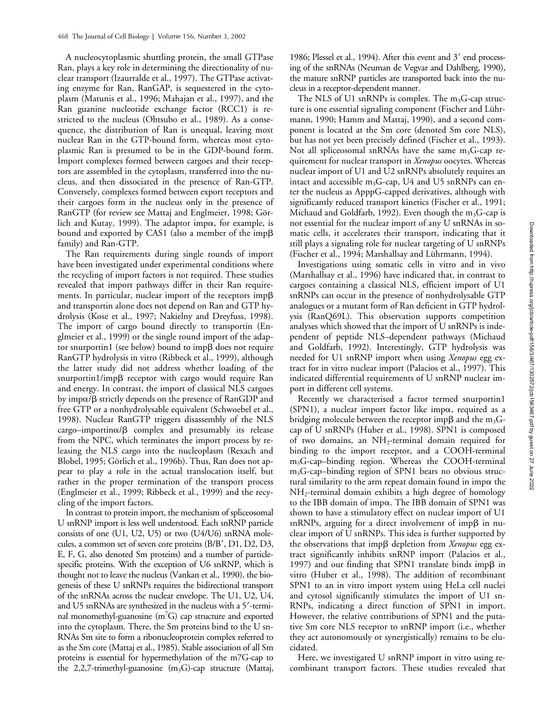A nucleocytoplasmic shuttling protein, the small GTPase Ran, plays a key role in determining the directionality of nuclear transport (Izaurralde et al., 1997). The GTPase activating enzyme for Ran, RanGAP, is sequestered in the cytoplasm (Matunis et al., 1996; Mahajan et al., 1997), and the Ran guanine nucleotide exchange factor (RCC1) is restricted to the nucleus (Ohtsubo et al., 1989). As a consequence, the distribution of Ran is unequal, leaving most nuclear Ran in the GTP-bound form, whereas most cytoplasmic Ran is presumed to be in the GDP-bound form. Import complexes formed between cargoes and their receptors are assembled in the cytoplasm, transferred into the nucleus, and then dissociated in the presence of Ran-GTP. Conversely, complexes formed between export receptors and their cargoes form in the nucleus only in the presence of RanGTP (for review see Mattaj and Englmeier, 1998; Görlich and Kutay, 1999). The adaptor imp $\alpha$ , for example, is bound and exported by CAS1 (also a member of the imp $\beta$ family) and Ran-GTP.

The Ran requirements during single rounds of import have been investigated under experimental conditions where the recycling of import factors is not required. These studies revealed that import pathways differ in their Ran requirements. In particular, nuclear import of the receptors imp $\beta$ and transportin alone does not depend on Ran and GTP hydrolysis (Kose et al., 1997; Nakielny and Dreyfuss, 1998). The import of cargo bound directly to transportin (Englmeier et al., 1999) or the single round import of the adaptor snurportin1 (see below) bound to imp $\beta$  does not require RanGTP hydrolysis in vitro (Ribbeck et al., 1999), although the latter study did not address whether loading of the snurportin1/impß receptor with cargo would require Ran and energy. In contrast, the import of classical NLS cargoes by imp $\alpha$ / $\beta$  strictly depends on the presence of RanGDP and free GTP or a nonhydrolysable equivalent (Schwoebel et al., 1998). Nuclear RanGTP triggers disassembly of the NLS  $cargo - importin\alpha/\beta$  complex and presumably its release from the NPC, which terminates the import process by releasing the NLS cargo into the nucleoplasm (Rexach and Blobel, 1995; Görlich et al., 1996b). Thus, Ran does not appear to play a role in the actual translocation itself, but rather in the proper termination of the transport process (Englmeier et al., 1999; Ribbeck et al., 1999) and the recycling of the import factors.

In contrast to protein import, the mechanism of spliceosomal U snRNP import is less well understood. Each snRNP particle consists of one (U1, U2, U5) or two (U4/U6) snRNA molecules, a common set of seven core proteins (B/B', D1, D2, D3, E, F, G, also denoted Sm proteins) and a number of particlespecific proteins. With the exception of U6 snRNP, which is thought not to leave the nucleus (Vankan et al., 1990), the biogenesis of these U snRNPs requires the bidirectional transport of the snRNAs across the nuclear envelope. The U1, U2, U4, and U5 snRNAs are synthesized in the nucleus with a 5'-terminal monomethyl-guanosine ( $m<sup>7</sup>G$ ) cap structure and exported into the cytoplasm. There, the Sm proteins bind to the U sn-RNAs Sm site to form a ribonucleoprotein complex referred to as the Sm core (Mattaj et al., 1985). Stable association of all Sm proteins is essential for hypermethylation of the m7G-cap to the 2,2,7-trimethyl-guanosine  $(m_3G)$ -cap structure (Mattaj,

1986; Plessel et al., 1994). After this event and 3' end processing of the snRNAs (Neuman de Vegvar and Dahlberg, 1990), the mature snRNP particles are transported back into the nucleus in a receptor-dependent manner.

The NLS of U1 snRNPs is complex. The  $m_3G$ -cap structure is one essential signaling component (Fischer and Lührmann, 1990; Hamm and Mattaj, 1990), and a second component is located at the Sm core (denoted Sm core NLS), but has not yet been precisely defined (Fischer et al., 1993). Not all spliceosomal snRNAs have the same  $m_3G$ -cap requirement for nuclear transport in *Xenopus* oocytes. Whereas nuclear import of U1 and U2 snRNPs absolutely requires an intact and accessible m<sub>3</sub>G-cap, U4 and U5 snRNPs can enter the nucleus as ApppG-capped derivatives, although with significantly reduced transport kinetics (Fischer et al., 1991; Michaud and Goldfarb, 1992). Even though the  $m_3G$ -cap is not essential for the nuclear import of any U snRNAs in somatic cells, it accelerates their transport, indicating that it still plays a signaling role for nuclear targeting of U snRNPs (Fischer et al., 1994; Marshallsay and Lührmann, 1994).

Investigations using somatic cells in vitro and in vivo (Marshallsay et al., 1996) have indicated that, in contrast to cargoes containing a classical NLS, efficient import of U1 snRNPs can occur in the presence of nonhydrolysable GTP analogues or a mutant form of Ran deficient in GTP hydrolysis (RanQ69L). This observation supports competition analyses which showed that the import of U snRNPs is independent of peptide NLS–dependent pathways (Michaud and Goldfarb, 1992). Interestingly, GTP hydrolysis was needed for U1 snRNP import when using *Xenopus* egg extract for in vitro nuclear import (Palacios et al., 1997). This indicated differential requirements of U snRNP nuclear import in different cell systems.

Recently we characterised a factor termed snurportin1 (SPN1), a nuclear import factor like imp $\alpha$ , required as a bridging molecule between the receptor imp $\beta$  and the m<sub>3</sub>Gcap of U snRNPs (Huber et al., 1998). SPN1 is composed of two domains, an NH2-terminal domain required for binding to the import receptor, and a COOH-terminal m3G-cap–binding region. Whereas the COOH-terminal  $m_3G$ -cap–binding region of SPN1 bears no obvious structural similarity to the arm repeat domain found in imp $\alpha$  the NH2-terminal domain exhibits a high degree of homology to the IBB domain of imp $\alpha$ . The IBB domain of SPN1 was shown to have a stimulatory effect on nuclear import of U1  $snRNPs$ , arguing for a direct involvement of imp $\beta$  in nuclear import of U snRNPs. This idea is further supported by the observations that impß depletion from *Xenopus* egg extract significantly inhibits snRNP import (Palacios et al., 1997) and our finding that SPN1 translate binds imp $\beta$  in vitro (Huber et al., 1998). The addition of recombinant SPN1 to an in vitro import system using HeLa cell nuclei and cytosol significantly stimulates the import of U1 sn-RNPs, indicating a direct function of SPN1 in import. However, the relative contributions of SPN1 and the putative Sm core NLS receptor to snRNP import (i.e., whether they act autonomously or synergistically) remains to be elucidated.

Here, we investigated U snRNP import in vitro using recombinant transport factors. These studies revealed that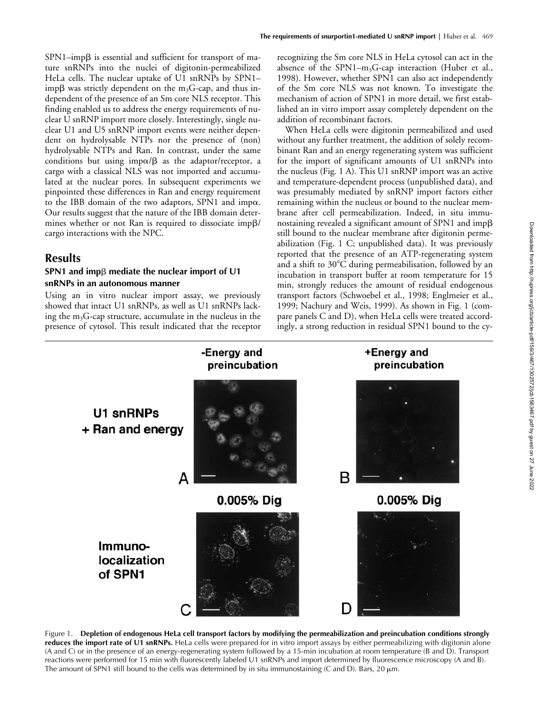$SPN1$ –imp $\beta$  is essential and sufficient for transport of mature snRNPs into the nuclei of digitonin-permeabilized HeLa cells. The nuclear uptake of U1 snRNPs by SPN1– imp $\beta$  was strictly dependent on the m<sub>3</sub>G-cap, and thus independent of the presence of an Sm core NLS receptor. This finding enabled us to address the energy requirements of nuclear U snRNP import more closely. Interestingly, single nuclear U1 and U5 snRNP import events were neither dependent on hydrolysable NTPs nor the presence of (non) hydrolysable NTPs and Ran. In contrast, under the same conditions but using imp $\alpha/\beta$  as the adaptor/receptor, a cargo with a classical NLS was not imported and accumulated at the nuclear pores. In subsequent experiments we pinpointed these differences in Ran and energy requirement to the IBB domain of the two adaptors, SPN1 and imp $\alpha$ . Our results suggest that the nature of the IBB domain determines whether or not Ran is required to dissociate imp $\beta$ / cargo interactions with the NPC.

## **Results**

### **SPN1 and imp** $\beta$  mediate the nuclear import of U1 **snRNPs in an autonomous manner**

Using an in vitro nuclear import assay, we previously showed that intact U1 snRNPs, as well as U1 snRNPs lacking the  $m_3G$ -cap structure, accumulate in the nucleus in the presence of cytosol. This result indicated that the receptor recognizing the Sm core NLS in HeLa cytosol can act in the absence of the SPN1- $m_3$ G-cap interaction (Huber et al., 1998). However, whether SPN1 can also act independently of the Sm core NLS was not known. To investigate the mechanism of action of SPN1 in more detail, we first established an in vitro import assay completely dependent on the addition of recombinant factors.

When HeLa cells were digitonin permeabilized and used without any further treatment, the addition of solely recombinant Ran and an energy regenerating system was sufficient for the import of significant amounts of U1 snRNPs into the nucleus (Fig. 1 A). This U1 snRNP import was an active and temperature-dependent process (unpublished data), and was presumably mediated by snRNP import factors either remaining within the nucleus or bound to the nuclear membrane after cell permeabilization. Indeed, in situ immunostaining revealed a significant amount of SPN1 and imp $\beta$ still bound to the nuclear membrane after digitonin permeabilization (Fig. 1 C; unpublished data). It was previously reported that the presence of an ATP-regenerating system and a shift to  $30^{\circ}$ C during permeabilisation, followed by an incubation in transport buffer at room temperature for 15 min, strongly reduces the amount of residual endogenous transport factors (Schwoebel et al., 1998; Englmeier et al., 1999; Nachury and Weis, 1999). As shown in Fig. 1 (compare panels C and D), when HeLa cells were treated accordingly, a strong reduction in residual SPN1 bound to the cy-



Figure 1. **Depletion of endogenous HeLa cell transport factors by modifying the permeabilization and preincubation conditions strongly**  reduces the import rate of U1 snRNPs. HeLa cells were prepared for in vitro import assays by either permeabilizing with digitonin alone (A and C) or in the presence of an energy-regenerating system followed by a 15-min incubation at room temperature (B and D). Transport reactions were performed for 15 min with fluorescently labeled U1 snRNPs and import determined by fluorescence microscopy (A and B). The amount of SPN1 still bound to the cells was determined by in situ immunostaining (C and D). Bars,  $20 \mu m$ .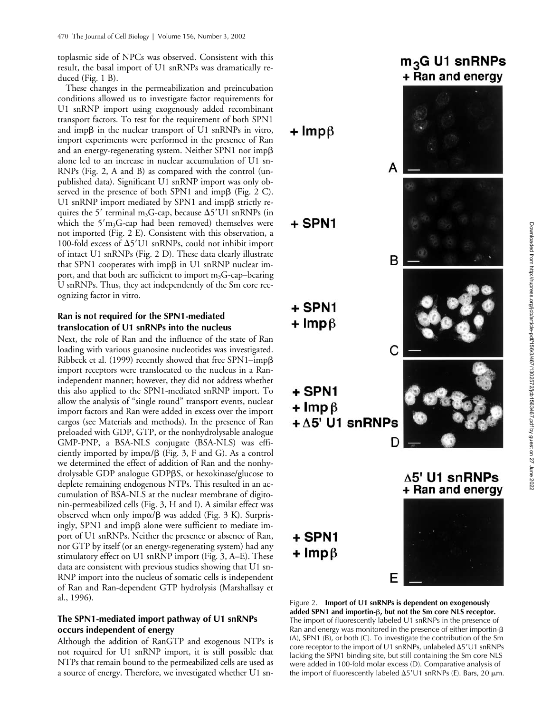toplasmic side of NPCs was observed. Consistent with this result, the basal import of U1 snRNPs was dramatically reduced (Fig. 1 B).

These changes in the permeabilization and preincubation conditions allowed us to investigate factor requirements for U1 snRNP import using exogenously added recombinant transport factors. To test for the requirement of both SPN1 and imp $\beta$  in the nuclear transport of U1 snRNPs in vitro, import experiments were performed in the presence of Ran and an energy-regenerating system. Neither SPN1 nor imp $\beta$ alone led to an increase in nuclear accumulation of U1 sn-RNPs (Fig. 2, A and B) as compared with the control (unpublished data). Significant U1 snRNP import was only observed in the presence of both SPN1 and imp $\beta$  (Fig. 2 C). U1 snRNP import mediated by SPN1 and impß strictly requires the 5' terminal m<sub>3</sub>G-cap, because  $\Delta$ 5'U1 snRNPs (in which the  $5'm<sub>3</sub>G$ -cap had been removed) themselves were not imported (Fig. 2 E). Consistent with this observation, a 100-fold excess of  $\Delta$ 5'U1 snRNPs, could not inhibit import of intact U1 snRNPs (Fig. 2 D). These data clearly illustrate that SPN1 cooperates with impß in U1 snRNP nuclear import, and that both are sufficient to import  $m_3G$ -cap–bearing U snRNPs. Thus, they act independently of the Sm core recognizing factor in vitro.

#### **Ran is not required for the SPN1-mediated translocation of U1 snRNPs into the nucleus**

Next, the role of Ran and the influence of the state of Ran loading with various guanosine nucleotides was investigated. Ribbeck et al. (1999) recently showed that free SPN1–imp $\beta$ import receptors were translocated to the nucleus in a Ranindependent manner; however, they did not address whether this also applied to the SPN1-mediated snRNP import. To allow the analysis of "single round" transport events, nuclear import factors and Ran were added in excess over the import cargos (see Materials and methods). In the presence of Ran preloaded with GDP, GTP, or the nonhydrolysable analogue GMP-PNP, a BSA-NLS conjugate (BSA-NLS) was efficiently imported by imp $\alpha/\beta$  (Fig. 3, F and G). As a control we determined the effect of addition of Ran and the nonhydrolysable GDP analogue GDPßS, or hexokinase/glucose to deplete remaining endogenous NTPs. This resulted in an accumulation of BSA-NLS at the nuclear membrane of digitonin-permeabilized cells (Fig. 3, H and I). A similar effect was observed when only imp $\alpha/\beta$  was added (Fig. 3 K). Surprisingly, SPN1 and imp $\beta$  alone were sufficient to mediate import of U1 snRNPs. Neither the presence or absence of Ran, nor GTP by itself (or an energy-regenerating system) had any stimulatory effect on U1 snRNP import (Fig. 3, A–E). These data are consistent with previous studies showing that U1 sn-RNP import into the nucleus of somatic cells is independent of Ran and Ran-dependent GTP hydrolysis (Marshallsay et al., 1996).

#### **The SPN1-mediated import pathway of U1 snRNPs occurs independent of energy**

Although the addition of RanGTP and exogenous NTPs is not required for U1 snRNP import, it is still possible that NTPs that remain bound to the permeabilized cells are used as a source of energy. Therefore, we investigated whether U1 sn-

# $m_3$ G U1 snRNPs + Ran and energy



Figure 2. **Import of U1 snRNPs is dependent on exogenously**  added SPN1 and importin-**β, but not the Sm core NLS receptor**. The import of fluorescently labeled U1 snRNPs in the presence of Ran and energy was monitored in the presence of either importin- $\beta$ (A), SPN1 (B), or both (C). To investigate the contribution of the Sm core receptor to the import of U1 snRNPs, unlabeled  $\Delta 5'U1$  snRNPs lacking the SPN1 binding site, but still containing the Sm core NLS were added in 100-fold molar excess (D). Comparative analysis of the import of fluorescently labeled  $\Delta 5'U1$  snRNPs (E). Bars, 20  $\mu$ m.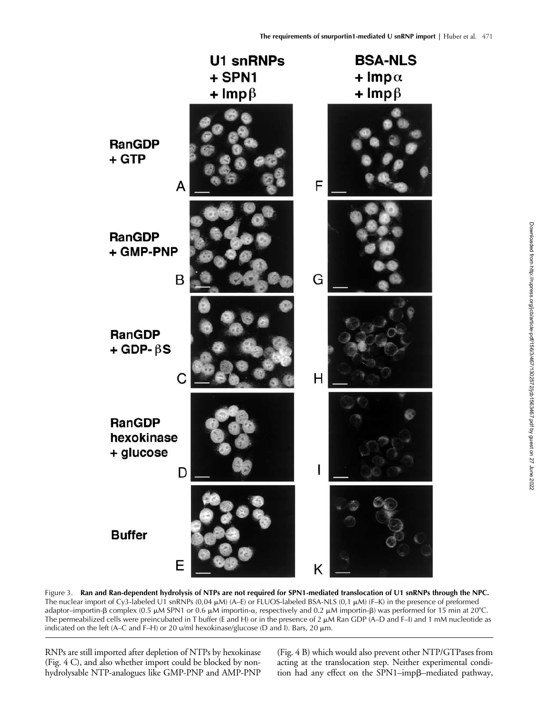

Figure 3. **Ran and Ran-dependent hydrolysis of NTPs are not required for SPN1-mediated translocation of U1 snRNPs through the NPC.** The nuclear import of Cy3-labeled U1 snRNPs (0,04  $\mu$ M) (A–E) or FLUOS-labeled BSA-NLS (0,1  $\mu$ M) (F–K) in the presence of preformed adaptor–importin-β complex (0.5 µM SPN1 or 0.6 µM importin- $\alpha$ , respectively and 0.2 µM importin-β) was performed for 15 min at 20°C. The permeabilized cells were preincubated in T buffer (E and H) or in the presence of 2  $\mu$ M Ran GDP (A–D and F–I) and 1 mM nucleotide as indicated on the left (A–C and F–H) or 20 u/ml hexokinase/glucose (D and I). Bars, 20  $\mu$ m.

RNPs are still imported after depletion of NTPs by hexokinase (Fig. 4 C), and also whether import could be blocked by nonhydrolysable NTP-analogues like GMP-PNP and AMP-PNP (Fig. 4 B) which would also prevent other NTP/GTPases from acting at the translocation step. Neither experimental condition had any effect on the SPN1-impß-mediated pathway,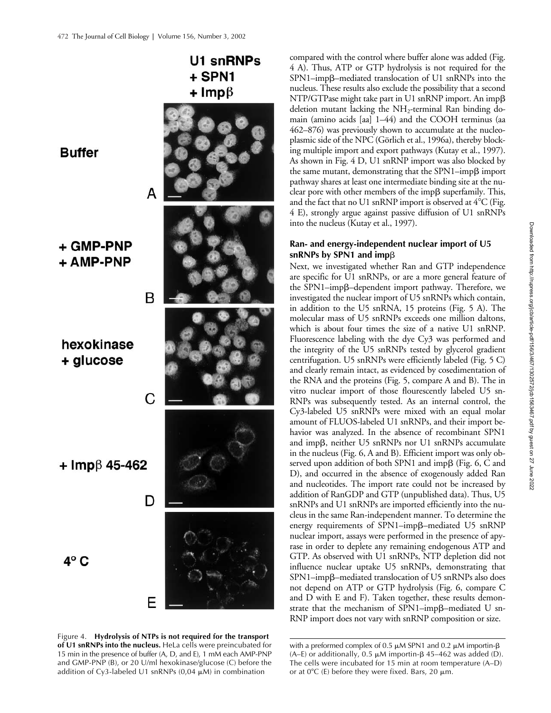**Buffer** 

+ GMP-PNP + AMP-PNP

В

hexokinase + glucose

 $+$  Imp $\upbeta$  45-462

 $4^{\circ}$  C



U1 snRNPs

+ SPN1 +  $\text{Imp}\beta$ 

Figure 4. **Hydrolysis of NTPs is not required for the transport of U1 snRNPs into the nucleus.** HeLa cells were preincubated for 15 min in the presence of buffer (A, D, and E), 1 mM each AMP-PNP and GMP-PNP (B), or 20 U/ml hexokinase/glucose (C) before the addition of Cy3-labeled U1 snRNPs  $(0,04 \mu M)$  in combination

compared with the control where buffer alone was added (Fig. 4 A). Thus, ATP or GTP hydrolysis is not required for the SPN1-impß-mediated translocation of U1 snRNPs into the nucleus. These results also exclude the possibility that a second  $NTP/GTP$ ase might take part in U1 snRNP import. An imp $\beta$ deletion mutant lacking the  $NH_2$ -terminal Ran binding domain (amino acids [aa] 1–44) and the COOH terminus (aa 462–876) was previously shown to accumulate at the nucleoplasmic side of the NPC (Görlich et al., 1996a), thereby blocking multiple import and export pathways (Kutay et al., 1997). As shown in Fig. 4 D, U1 snRNP import was also blocked by the same mutant, demonstrating that the SPN1–imp $\beta$  import pathway shares at least one intermediate binding site at the nuclear pore with other members of the imp $\beta$  superfamily. This, and the fact that no U1 snRNP import is observed at  $4^{\circ}$ C (Fig. 4 E), strongly argue against passive diffusion of U1 snRNPs into the nucleus (Kutay et al., 1997).

#### **Ran- and energy-independent nuclear import of U5 snRNPs by SPN1 and imp**β

Next, we investigated whether Ran and GTP independence are specific for U1 snRNPs, or are a more general feature of the SPN1-impß-dependent import pathway. Therefore, we investigated the nuclear import of U5 snRNPs which contain, in addition to the U5 snRNA, 15 proteins (Fig. 5 A). The molecular mass of U5 snRNPs exceeds one million daltons, which is about four times the size of a native U1 snRNP. Fluorescence labeling with the dye Cy3 was performed and the integrity of the U5 snRNPs tested by glycerol gradient centrifugation. U5 snRNPs were efficiently labeled (Fig. 5 C) and clearly remain intact, as evidenced by cosedimentation of the RNA and the proteins (Fig. 5, compare A and B). The in vitro nuclear import of those flourescently labeled U5 sn-RNPs was subsequently tested. As an internal control, the Cy3-labeled U5 snRNPs were mixed with an equal molar amount of FLUOS-labeled U1 snRNPs, and their import behavior was analyzed. In the absence of recombinant SPN1 and impß, neither U5 snRNPs nor U1 snRNPs accumulate in the nucleus (Fig. 6, A and B). Efficient import was only observed upon addition of both SPN1 and impß (Fig. 6, C and D), and occurred in the absence of exogenously added Ran and nucleotides. The import rate could not be increased by addition of RanGDP and GTP (unpublished data). Thus, U5 snRNPs and U1 snRNPs are imported efficiently into the nucleus in the same Ran-independent manner. To determine the energy requirements of SPN1-impß-mediated U5 snRNP nuclear import, assays were performed in the presence of apyrase in order to deplete any remaining endogenous ATP and GTP. As observed with U1 snRNPs, NTP depletion did not influence nuclear uptake U5 snRNPs, demonstrating that SPN1-impß-mediated translocation of U5 snRNPs also does not depend on ATP or GTP hydrolysis (Fig. 6, compare C and D with E and F). Taken together, these results demonstrate that the mechanism of SPN1–impß–mediated U sn-RNP import does not vary with snRNP composition or size.

with a preformed complex of 0.5  $\mu$ M SPN1 and 0.2  $\mu$ M importin-β (A–E) or additionally, 0.5  $\mu$ M importin-β 45–462 was added (D). The cells were incubated for 15 min at room temperature (A–D) or at  $0^{\circ}$ C (E) before they were fixed. Bars, 20  $\mu$ m.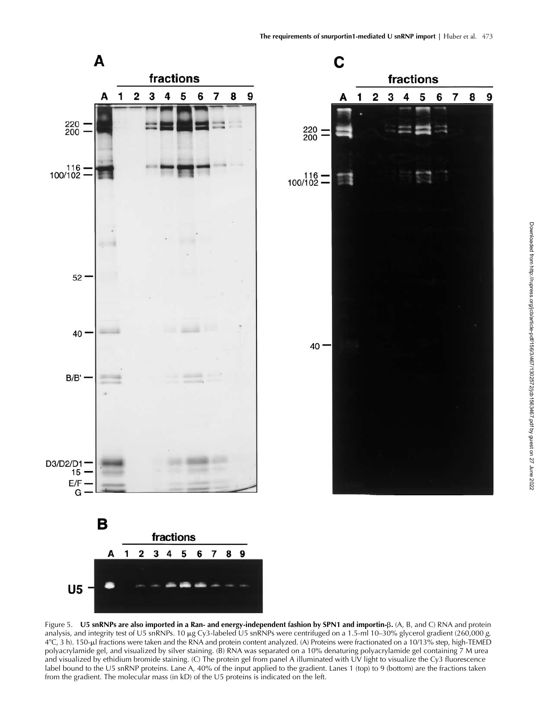

Figure 5. **U5 snRNPs are also imported in a Ran- and energy-independent fashion by SPN1 and importin-β. (A, B, and C) RNA and protein** analysis, and integrity test of U5 snRNPs. 10 µg Cy3-labeled U5 snRNPs were centrifuged on a 1.5-ml 10-30% glycerol gradient (260,000 g, 4°C, 3 h). 150-µl fractions were taken and the RNA and protein content analyzed. (A) Proteins were fractionated on a 10/13% step, high-TEMED polyacrylamide gel, and visualized by silver staining. (B) RNA was separated on a 10% denaturing polyacrylamide gel containing 7 M urea and visualized by ethidium bromide staining. (C) The protein gel from panel A illuminated with UV light to visualize the Cy3 fluorescence label bound to the U5 snRNP proteins. Lane A, 40% of the input applied to the gradient. Lanes 1 (top) to 9 (bottom) are the fractions taken from the gradient. The molecular mass (in kD) of the U5 proteins is indicated on the left.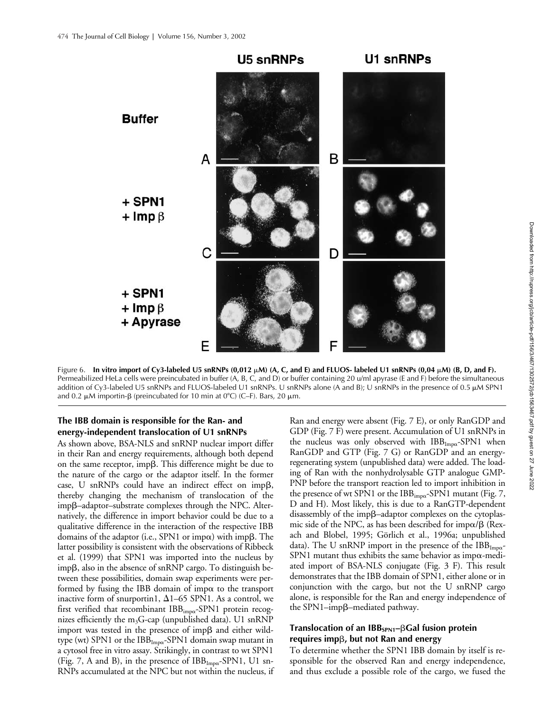

Figure 6. **In vitro import of Cy3-labeled U5 snRNPs (0,012 M) (A, C, and E) and FLUOS- labeled U1 snRNPs (0,04 M) (B, D, and F).** Permeabilized HeLa cells were preincubated in buffer (A, B, C, and D) or buffer containing 20 u/ml apyrase (E and F) before the simultaneous addition of Cy3-labeled U5 snRNPs and FLUOS-labeled U1 snRNPs. U snRNPs alone (A and B); U snRNPs in the presence of 0.5 µM SPN1 and 0.2  $\mu$ M importin- $\beta$  (preincubated for 10 min at 0°C) (C–F). Bars, 20  $\mu$ m.

#### **The IBB domain is responsible for the Ran- and energy-independent translocation of U1 snRNPs**

As shown above, BSA-NLS and snRNP nuclear import differ in their Ran and energy requirements, although both depend on the same receptor, imp $\beta$ . This difference might be due to the nature of the cargo or the adaptor itself. In the former case, U snRNPs could have an indirect effect on imp $\beta$ , thereby changing the mechanism of translocation of the impß-adaptor-substrate complexes through the NPC. Alternatively, the difference in import behavior could be due to a qualitative difference in the interaction of the respective IBB domains of the adaptor (i.e., SPN1 or imp $\alpha$ ) with imp $\beta$ . The latter possibility is consistent with the observations of Ribbeck et al. (1999) that SPN1 was imported into the nucleus by impß, also in the absence of snRNP cargo. To distinguish between these possibilities, domain swap experiments were performed by fusing the IBB domain of imp $\alpha$  to the transport inactive form of snurportin1,  $\Delta$ 1–65 SPN1. As a control, we first verified that recombinant  $IBB_{imp\alpha}$ -SPN1 protein recognizes efficiently the  $m_3G$ -cap (unpublished data). U1 snRNP import was tested in the presence of imp $\beta$  and either wildtype (wt) SPN1 or the  $IBB_{Imp\alpha}$ -SPN1 domain swap mutant in a cytosol free in vitro assay. Strikingly, in contrast to wt SPN1 (Fig. 7, A and B), in the presence of  $IBB_{Imp\alpha}$ -SPN1, U1 sn-RNPs accumulated at the NPC but not within the nucleus, if Ran and energy were absent (Fig. 7 E), or only RanGDP and GDP (Fig. 7 F) were present. Accumulation of U1 snRNPs in the nucleus was only observed with  $IBB_{Imp\alpha}$ -SPN1 when RanGDP and GTP (Fig. 7 G) or RanGDP and an energyregenerating system (unpublished data) were added. The loading of Ran with the nonhydrolysable GTP analogue GMP-PNP before the transport reaction led to import inhibition in the presence of wt SPN1 or the  $IBB_{imp\alpha}$ -SPN1 mutant (Fig. 7, D and H). Most likely, this is due to a RanGTP-dependent disassembly of the impß-adaptor complexes on the cytoplasmic side of the NPC, as has been described for imp $\alpha/\beta$  (Rexach and Blobel, 1995; Görlich et al., 1996a; unpublished data). The U snRNP import in the presence of the  $IBB_{\text{Im}\alpha}$ -SPN1 mutant thus exhibits the same behavior as imp $\alpha$ -mediated import of BSA-NLS conjugate (Fig. 3 F). This result demonstrates that the IBB domain of SPN1, either alone or in conjunction with the cargo, but not the U snRNP cargo alone, is responsible for the Ran and energy independence of the SPN1-impß-mediated pathway.

#### Translocation of an IBB<sub>SPN1</sub>–βGal fusion protein  $requ$ ires imp $\beta$ , but not Ran and energy

To determine whether the SPN1 IBB domain by itself is responsible for the observed Ran and energy independence, and thus exclude a possible role of the cargo, we fused the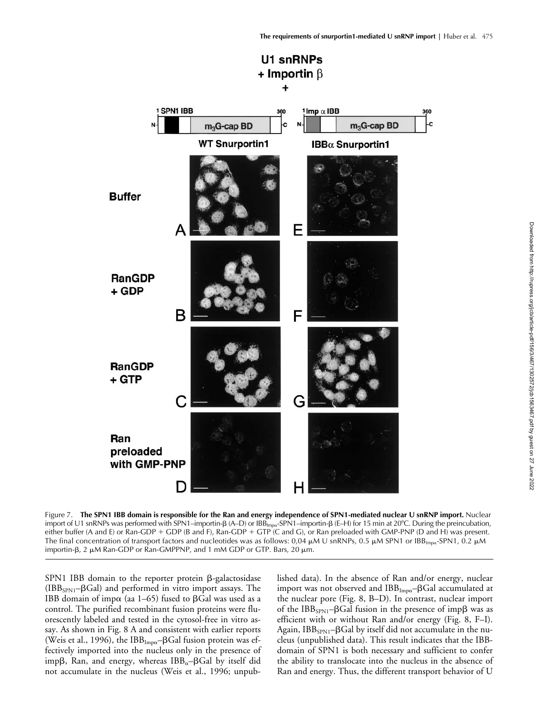

Downloaded from http://rupress.org/jcb/article-pdf/156/3/467/1302572/jcb1563467.pdf by guest on 27 June 2022 Downloaded from http://rupress.org/jcb/article-pdf/156/3/467/1302572/jcb1563467.pdf by guest on 27 June 2022

Figure 7. **The SPN1 IBB domain is responsible for the Ran and energy independence of SPN1-mediated nuclear U snRNP import.** Nuclear import of U1 snRNPs was performed with SPN1–importin- $\beta$  (A–D) or IBB<sub>Impa</sub>-SPN1–importin- $\beta$  (E–H) for 15 min at 20°C. During the preincubation, either buffer (A and E) or Ran-GDP + GDP (B and F), Ran-GDP + GTP (C and G), or Ran preloaded with GMP-PNP (D and H) was present. The final concentration of transport factors and nucleotides was as follows: 0,04  $\mu$ M U snRNPs, 0.5  $\mu$ M SPN1 or IBB<sub>Impa</sub>-SPN1, 0.2  $\mu$ M importin-β, 2 μM Ran-GDP or Ran-GMPPNP, and 1 mM GDP or GTP. Bars, 20 μm.

 $SPN1$  IBB domain to the reporter protein  $\beta$ -galactosidase  $(IBB<sub>SPN1</sub>– $\beta$ Gal) and performed in vitro import assays. The$ IBB domain of imp $\alpha$  (aa 1–65) fused to  $\beta$ Gal was used as a control. The purified recombinant fusion proteins were fluorescently labeled and tested in the cytosol-free in vitro assay. As shown in Fig. 8 A and consistent with earlier reports (Weis et al., 1996), the IBB $_{\text{Imp}\alpha}$ - $\beta$ Gal fusion protein was effectively imported into the nucleus only in the presence of imp $\beta$ , Ran, and energy, whereas IBB<sub>α</sub>– $\beta$ Gal by itself did not accumulate in the nucleus (Weis et al., 1996; unpublished data). In the absence of Ran and/or energy, nuclear import was not observed and  $\text{IBB}_{\text{Imp}\alpha}\text{--}\text{\sf BGal}$  accumulated at the nuclear pore (Fig. 8, B–D). In contrast, nuclear import of the IBB<sub>SPN1</sub>-BGal fusion in the presence of imp $\beta$  was as efficient with or without Ran and/or energy (Fig. 8, F–I). Again, IBB $_{\rm SPN1}$ – $\beta$ Gal by itself did not accumulate in the nucleus (unpublished data). This result indicates that the IBBdomain of SPN1 is both necessary and sufficient to confer the ability to translocate into the nucleus in the absence of Ran and energy. Thus, the different transport behavior of U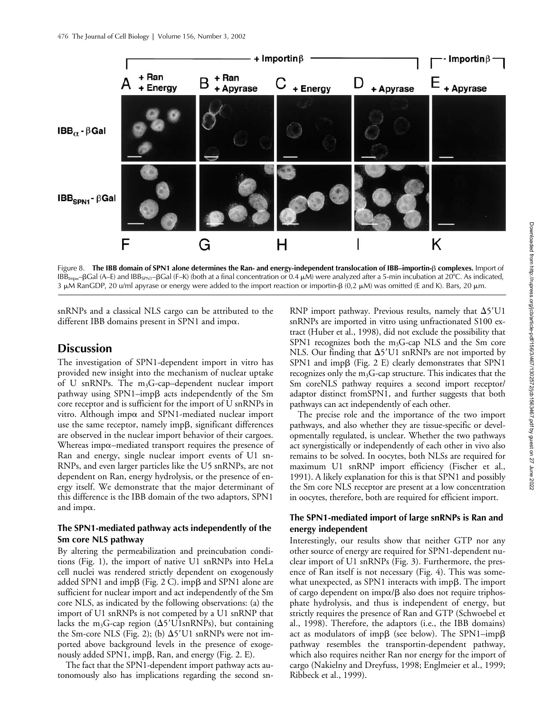

Figure 8. **The IBB domain of SPN1 alone determines the Ran- and energy-independent translocation of IBB–importin-**- **complexes.** Import of IBB<sub>Impα</sub>–βGal (A–E) and IBB<sub>SPN1</sub>–βGal (F–K) (both at a final concentration or 0.4  $\mu$ M) were analyzed after a 5-min incubation at 20°C. As indicated, 3 µM RanGDP, 20 u/ml apyrase or energy were added to the import reaction or importin-β (0,2 µM) was omitted (E and K). Bars, 20 µm.

snRNPs and a classical NLS cargo can be attributed to the different IBB domains present in SPN1 and imp $\alpha$ .

## **Discussion**

The investigation of SPN1-dependent import in vitro has provided new insight into the mechanism of nuclear uptake of U snRNPs. The  $m_3G$ -cap–dependent nuclear import pathway using SPN1-impß acts independently of the Sm core receptor and is sufficient for the import of U snRNPs in vitro. Although imp $\alpha$  and SPN1-mediated nuclear import use the same receptor, namely impß, significant differences are observed in the nuclear import behavior of their cargoes. Whereas imp $\alpha$ -mediated transport requires the presence of Ran and energy, single nuclear import events of U1 sn-RNPs, and even larger particles like the U5 snRNPs, are not dependent on Ran, energy hydrolysis, or the presence of energy itself. We demonstrate that the major determinant of this difference is the IBB domain of the two adaptors, SPN1 and imp $\alpha$ .

#### **The SPN1-mediated pathway acts independently of the Sm core NLS pathway**

By altering the permeabilization and preincubation conditions (Fig. 1), the import of native U1 snRNPs into HeLa cell nuclei was rendered strictly dependent on exogenously added SPN1 and imp $\beta$  (Fig. 2 C). imp $\beta$  and SPN1 alone are sufficient for nuclear import and act independently of the Sm core NLS, as indicated by the following observations: (a) the import of U1 snRNPs is not competed by a U1 snRNP that lacks the m<sub>3</sub>G-cap region ( $\Delta$ 5'U1snRNPs), but containing the Sm-core NLS (Fig. 2); (b)  $\Delta$ 5'U1 snRNPs were not imported above background levels in the presence of exogenously added SPN1, imp $\beta$ , Ran, and energy (Fig. 2. E).

The fact that the SPN1-dependent import pathway acts autonomously also has implications regarding the second sn-

RNP import pathway. Previous results, namely that  $\Delta 5'U1$ snRNPs are imported in vitro using unfractionated S100 extract (Huber et al., 1998), did not exclude the possibility that SPN1 recognizes both the  $m_3G$ -cap NLS and the Sm core NLS. Our finding that  $\Delta$ 5'U1 snRNPs are not imported by SPN1 and impß (Fig. 2 E) clearly demonstrates that SPN1 recognizes only the  $m_3G$ -cap structure. This indicates that the Sm coreNLS pathway requires a second import receptor/ adaptor distinct fromSPN1, and further suggests that both pathways can act independently of each other.

The precise role and the importance of the two import pathways, and also whether they are tissue-specific or developmentally regulated, is unclear. Whether the two pathways act synergistically or independently of each other in vivo also remains to be solved. In oocytes, both NLSs are required for maximum U1 snRNP import efficiency (Fischer et al., 1991). A likely explanation for this is that SPN1 and possibly the Sm core NLS receptor are present at a low concentration in oocytes, therefore, both are required for efficient import.

#### **The SPN1-mediated import of large snRNPs is Ran and energy independent**

Interestingly, our results show that neither GTP nor any other source of energy are required for SPN1-dependent nuclear import of U1 snRNPs (Fig. 3). Furthermore, the presence of Ran itself is not necessary (Fig. 4). This was somewhat unexpected, as SPN1 interacts with imp $\beta$ . The import of cargo dependent on imp $\alpha/\beta$  also does not require triphosphate hydrolysis, and thus is independent of energy, but strictly requires the presence of Ran and GTP (Schwoebel et al., 1998). Therefore, the adaptors (i.e., the IBB domains) act as modulators of imp $\beta$  (see below). The SPN1–imp $\beta$ pathway resembles the transportin-dependent pathway, which also requires neither Ran nor energy for the import of cargo (Nakielny and Dreyfuss, 1998; Englmeier et al., 1999; Ribbeck et al., 1999).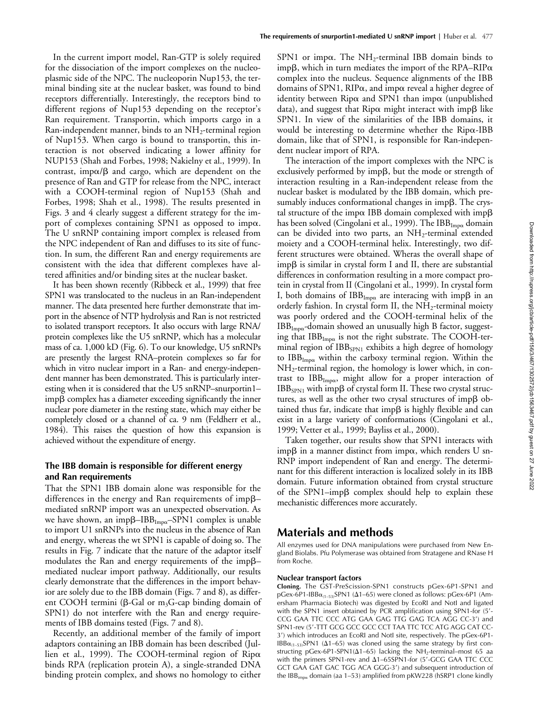In the current import model, Ran-GTP is solely required for the dissociation of the import complexes on the nucleoplasmic side of the NPC. The nucleoporin Nup153, the terminal binding site at the nuclear basket, was found to bind receptors differentially. Interestingly, the receptors bind to different regions of Nup153 depending on the receptor's Ran requirement. Transportin, which imports cargo in a Ran-independent manner, binds to an  $NH_2$ -terminal region of Nup153. When cargo is bound to transportin, this interaction is not observed indicating a lower affinity for NUP153 (Shah and Forbes, 1998; Nakielny et al., 1999). In contrast, imp $\alpha/\beta$  and cargo, which are dependent on the presence of Ran and GTP for release from the NPC, interact with a COOH-terminal region of Nup153 (Shah and Forbes, 1998; Shah et al., 1998). The results presented in Figs. 3 and 4 clearly suggest a different strategy for the import of complexes containing SPN1 as opposed to imp $\alpha$ . The U snRNP containing import complex is released from the NPC independent of Ran and diffuses to its site of function. In sum, the different Ran and energy requirements are consistent with the idea that different complexes have altered affinities and/or binding sites at the nuclear basket.

It has been shown recently (Ribbeck et al., 1999) that free SPN1 was translocated to the nucleus in an Ran-independent manner. The data presented here further demonstrate that import in the absence of NTP hydrolysis and Ran is not restricted to isolated transport receptors. It also occurs with large RNA/ protein complexes like the U5 snRNP, which has a molecular mass of ca. 1,000 kD (Fig. 6). To our knowledge, U5 snRNPs are presently the largest RNA–protein complexes so far for which in vitro nuclear import in a Ran- and energy-independent manner has been demonstrated. This is particularly interesting when it is considered that the U5 snRNP–snurportin1–  $\operatorname{imp}\beta$  complex has a diameter exceeding significantly the inner nuclear pore diameter in the resting state, which may either be completely closed or a channel of ca. 9 nm (Feldherr et al., 1984). This raises the question of how this expansion is achieved without the expenditure of energy.

#### **The IBB domain is responsible for different energy and Ran requirements**

That the SPN1 IBB domain alone was responsible for the differences in the energy and Ran requirements of imp $\beta$ mediated snRNP import was an unexpected observation. As we have shown, an imp $\beta$ –IBB $_{\text{Imp}}$ –SPN1 complex is unable to import U1 snRNPs into the nucleus in the absence of Ran and energy, whereas the wt SPN1 is capable of doing so. The results in Fig. 7 indicate that the nature of the adaptor itself modulates the Ran and energy requirements of the imp $\beta$ mediated nuclear import pathway. Additionally, our results clearly demonstrate that the differences in the import behavior are solely due to the IBB domain (Figs. 7 and 8), as different COOH termini ( $\beta$ -Gal or m<sub>3</sub>G-cap binding domain of SPN1) do not interfere with the Ran and energy requirements of IBB domains tested (Figs. 7 and 8).

Recently, an additional member of the family of import adaptors containing an IBB domain has been described (Jullien et al., 1999). The COOH-terminal region of  $Rip\alpha$ binds RPA (replication protein A), a single-stranded DNA binding protein complex, and shows no homology to either SPN1 or imp $\alpha$ . The NH<sub>2</sub>-terminal IBB domain binds to impβ, which in turn mediates the import of the RPA–RIP $\alpha$ complex into the nucleus. Sequence alignments of the IBB domains of SPN1, RIP $\alpha$ , and imp $\alpha$  reveal a higher degree of identity between Rip $\alpha$  and SPN1 than imp $\alpha$  (unpublished data), and suggest that Rip $\alpha$  might interact with imp $\beta$  like SPN1. In view of the similarities of the IBB domains, it would be interesting to determine whether the  $Rip\alpha$ -IBB domain, like that of SPN1, is responsible for Ran-independent nuclear import of RPA.

The interaction of the import complexes with the NPC is exclusively performed by imp $\beta$ , but the mode or strength of interaction resulting in a Ran-independent release from the nuclear basket is modulated by the IBB domain, which presumably induces conformational changes in imp $\beta$ . The crystal structure of the imp $\alpha$  IBB domain complexed with imp $\beta$ has been solved (Cingolani et al., 1999). The  $\text{IBB}_{\text{Impx}}$  domain can be divided into two parts, an  $NH_2$ -terminal extended moiety and a COOH-terminal helix. Interestingly, two different structures were obtained. Wheras the overall shape of imp $\beta$  is similar in crystal form I and II, there are substantial differences in conformation resulting in a more compact protein in crystal from II (Cingolani et al., 1999). In crystal form I, both domains of  $\text{IBB}_{\text{Impx}}$  are interacing with imp $\beta$  in an orderly fashion. In crystal form II, the  $NH<sub>2</sub>$ -terminal moiety was poorly ordered and the COOH-terminal helix of the  $IBB_{Imp\alpha}$ -domain showed an unusually high B factor, suggesting that  $\text{IBB}_{\text{Impx}}$  is not the right substrate. The COOH-terminal region of  $IBB_{SPN1}$  exhibits a high degree of homology to  $IBB_{Imp\alpha}$  within the carboxy terminal region. Within the  $NH<sub>2</sub>$ -terminal region, the homology is lower which, in contrast to IBB<sub>Impa</sub>, might allow for a proper interaction of  $\text{IBB}_{\text{SPN1}}$  with imp $\beta$  of crystal form II. These two crystal structures, as well as the other two crysal structures of imp $\beta$  obtained thus far, indicate that imp $\beta$  is highly flexible and can exist in a large variety of conformations (Cingolani et al., 1999; Vetter et al., 1999; Bayliss et al., 2000).

Taken together, our results show that SPN1 interacts with imp $\beta$  in a manner distinct from imp $\alpha$ , which renders U sn-RNP import independent of Ran and energy. The determinant for this different interaction is localized solely in its IBB domain. Future information obtained from crystal structure of the SPN1-impß complex should help to explain these mechanistic differences more accurately.

## **Materials and methods**

All enzymes used for DNA manipulations were purchased from New England Biolabs. Pfu Polymerase was obtained from Stratagene and RNase H from Roche.

#### **Nuclear transport factors**

**Cloning.** The GST-PreScission-SPN1 constructs pGex-6P1-SPN1 and  $pGex-6P1-IBB\alpha_{(1-53)}SPN1$  ( $\Delta1-65$ ) were cloned as follows: pGex-6P1 (Amersham Pharmacia Biotech) was digested by EcoRI and NotI and ligated with the SPN1 insert obtained by PCR amplification using SPN1-for (5'-CCG GAA TTC CCC ATG GAA GAG TTG GAG TCA AGG CC-3) and SPN1-rev (5-TTT GCG GCC GCC CCT TAA TTC TCC ATG AGG CAT CC-3) which introduces an EcoRI and NotI site, respectively. The pGex-6P1- IBB $\alpha_{(1-53)}$ SPN1 ( $\Delta$ 1–65) was cloned using the same strategy by first constructing pGex-6P1-SPN1( $\Delta$ 1–65) lacking the NH<sub>2</sub>-terminal–most 65 aa with the primers SPN1-rev and  $\Delta$ 1-65SPN1-for (5'-GCG GAA TTC CCC GCT GAA GAT GAC TGG ACA GGG-3) and subsequent introduction of the IBB<sub>impa</sub> domain (aa 1–53) amplified from pKW228 (hSRP1 clone kindly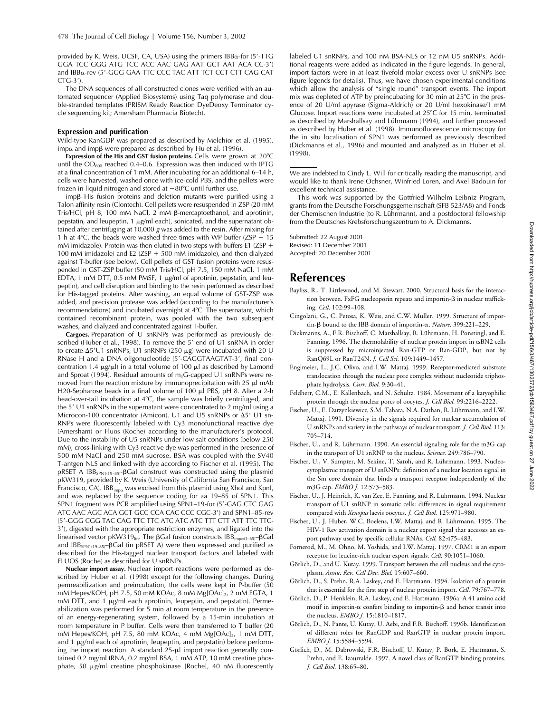provided by K. Weis, UCSF, CA, USA) using the primers  $IBB\alpha$ -for (5'-TTG GGA TCC GGG ATG TCC ACC AAC GAG AAT GCT AAT ACA CC-3) and IBB&-rev (5'-GGG GAA TTC CCC TAC ATT TCT CCT CTT CAG CAT  $CTG-3$ <sup>'</sup>).

The DNA sequences of all constructed clones were verified with an automated sequencer (Applied Biosystems) using Taq polymerase and double-stranded templates (PRISM Ready Reaction DyeDeoxy Terminator cycle sequencing kit; Amersham Pharmacia Biotech).

#### **Expression and purification**

Wild-type RanGDP was prepared as described by Melchior et al. (1995). imp $\alpha$  and imp $\beta$  were prepared as described by Hu et al. (1996).

**Expression of the His and GST fusion proteins.** Cells were grown at 20°C until the  $OD_{600}$  reached 0.4–0.6. Expression was then induced with IPTG at a final concentration of 1 mM. After incubating for an additional 6–14 h, cells were harvested, washed once with ice-cold PBS, and the pellets were frozen in liquid nitrogen and stored at  $-80^{\circ}$ C until further use.

impβ-His fusion proteins and deletion mutants were purified using a Talon affinity resin (Clontech). Cell pellets were resuspended in ZSP (20 mM Tris/HCl, pH 8, 100 mM NaCl, 2 mM β-mercaptoethanol, and aprotinin, pepstatin, and leupeptin, 1  $\mu$ g/ml each), sonicated, and the supernatant obtained after centrifuging at 10,000 *g* was added to the resin. After mixing for 1 h at  $4^{\circ}$ C, the beads were washed three times with WP buffer (ZSP + 15 mM imidazole). Protein was then eluted in two steps with buffers E1 (ZSP  $+$ 100 mM imidazole) and E2 (ZSP  $+$  500 mM imidazole), and then dialyzed against T-buffer (see below). Cell pellets of GST fusion proteins were resuspended in GST-ZSP buffer (50 mM Tris/HCl, pH 7.5, 150 mM NaCl, 1 mM EDTA, 1 mM DTT, 0.5 mM PMSF, 1  $\mu$ g/ml of aprotinin, pepstatin, and leupeptin), and cell disruption and binding to the resin performed as described for His-tagged proteins. After washing, an equal volume of GST-ZSP was added, and precision protease was added (according to the manufacturer's recommendations) and incubated overnight at 4°C. The supernatant, which contained recombinant protein, was pooled with the two subsequent washes, and dialyzed and concentrated against T-buffer.

**Cargoes.** Preparation of U snRNPs was performed as previously described (Huber et al., 1998). To remove the 5' end of U1 snRNA in order to create  $\Delta$ 5'U1 snRNPs, U1 snRNPs (250 µg) were incubated with 20 U RNase H and a DNA oligonucleotide (5'-CAGGTAAGTAT-3', final concentration 1.4  $\mu$ g/ $\mu$ l) in a total volume of 100  $\mu$ l as described by Lamond and Sproat (1994). Residual amounts of  $m_3G$ -capped U1 snRNPs were removed from the reaction mixture by immunoprecipitation with 25  $\mu$ l mAb H20-Sepharose beads in a final volume of 100  $\mu$ l PBS, pH 8. After a 2-h head-over-tail incubation at 4°C, the sample was briefly centrifuged, and the 5' U1 snRNPs in the supernatant were concentrated to 2 mg/ml using a Microcon-100 concentrator (Amicon). U1 and U5 snRNPs or  $\Delta 5'$  U1 sn-RNPs were fluorescently labeled with Cy3 monofunctional reactive dye (Amersham) or Fluos (Roche) according to the manufacturer's protocol. Due to the instability of U5 snRNPs under low salt conditions (below 250 mM), cross-linking with Cy3 reactive dye was performed in the presence of 500 mM NaCl and 250 mM sucrose. BSA was coupled with the SV40 T-antgen NLS and linked with dye according to Fischer et al. (1995). The pRSET A IBB<sub>SPN1(19-85)</sub>-BGal construct was constructed using the plasmid pKW319, provided by K. Weis (University of California San Francisco, San Francisco, CA).  $IBB_{imp\alpha}$  was excised from this plasmid using XhoI and KpnI, and was replaced by the sequence coding for aa 19–85 of SPN1. This SPN1 fragment was PCR amplified using SPN1-19-for (5'-GAG CTC GAG ATC AAC AGC ACA GCT GCC CCA CAC CCC CGC-3) and SPN1–85-rev (5-GGG CGG TAC CAG TTC TTC ATC ATC ATC TTT CTT ATT TTC TTC-3), digested with the appropriate restriction enzymes, and ligated into the linearised vector pKW319<sub>lin</sub>. The  $\beta$ Gal fusion constructs IBB<sub>imp $\alpha$ (1–65)</sub>– $\beta$ Gal and IBB<sub>SPN1(19-85)</sub>-BGal (in pRSET A) were then expressed and purified as described for the His-tagged nuclear transport factors and labeled with FLUOS (Roche) as described for U snRNPs.

**Nuclear import assay.** Nuclear import reactions were performed as described by Huber et al. (1998) except for the following changes. During permeabilization and preincubation, the cells were kept in P-buffer (50 mM Hepes/KOH, pH 7.5, 50 mM KOAc, 8 mM Mg[OAc]<sub>2</sub>, 2 mM EGTA, 1 mM DTT, and 1  $\mu$ g/ml each aprotinin, leupeptin, and pepstatin). Permeabilization was performed for 5 min at room temperature in the presence of an energy-regenerating system, followed by a 15-min incubation at room temperature in P buffer. Cells were then transferred to T buffer (20 mM Hepes/KOH, pH 7.5, 80 mM KOAc, 4 mM Mg[OAc]<sub>2</sub>, 1 mM DTT, and 1  $\mu$ g/ml each of aprotinin, leupeptin, and pepstatin) before performing the import reaction. A standard  $25-\mu l$  import reaction generally contained 0.2 mg/ml tRNA, 0.2 mg/ml BSA, 1 mM ATP, 10 mM creatine phosphate, 50 µg/ml creatine phosphokinase [Roche], 40 nM fluorescently

labeled U1 snRNPs, and 100 nM BSA-NLS or 12 nM U5 snRNPs. Additional reagents were added as indicated in the figure legends. In general, import factors were in at least fivefold molar excess over U snRNPs (see figure legends for details). Thus, we have chosen experimental conditions which allow the analysis of "single round" transport events. The import mix was depleted of ATP by preincubating for 30 min at  $25^{\circ}$ C in the presence of 20 U/ml apyrase (Sigma-Aldrich) or 20 U/ml hexokinase/1 mM Glucose. Import reactions were incubated at 25°C for 15 min, terminated as described by Marshallsay and Lührmann (1994), and further processed as described by Huber et al. (1998). Immunofluorescence microscopy for the in situ localisation of SPN1 was performed as previously described (Dickmanns et al., 1996) and mounted and analyzed as in Huber et al. (1998).

We are indebted to Cindy L. Will for critically reading the manuscript, and would like to thank Irene Öchsner, Winfried Loren, and Axel Badouin for excellent technical assistance.

This work was supported by the Gottfried Wilhelm Leibniz Program, grants from the Deutsche Forschungsgemeinschaft (SFB 523/A8) and Fonds der Chemischen Industrie (to R. Lührmann), and a postdoctoral fellowship from the Deutsches Krebsforschungszentrum to A. Dickmanns.

Submitted: 22 August 2001 Revised: 11 December 2001 Accepted: 20 December 2001

#### **References**

- Bayliss, R., T. Littlewood, and M. Stewart. 2000. Structural basis for the interaction between. FxFG nucleoporin repeats and importin- $\beta$  in nuclear trafficking. *Cell*. 102:99–108.
- Cingolani, G., C. Petosa, K. Weis, and C.W. Muller. 1999. Structure of importin-β bound to the IBB domain of importin-α. *Nature*. 399:221-229.
- Dickmanns, A., F.R. Bischoff, C. Marshallsay, R. Lührmann, H. Ponstingl, and E. Fanning. 1996. The thermolability of nuclear protein import in tsBN2 cells is suppressed by microinjected Ran-GTP or Ran-GDP, but not by RanQ69L or RanT24N. *J. Cell Sci.* 109:1449–1457.
- Englmeier, L., J.C. Olivo, and I.W. Mattaj. 1999. Receptor-mediated substrate translocation through the nuclear pore complex without nucleotide triphosphate hydrolysis. *Curr. Biol.* 9:30–41.
- Feldherr, C.M., E. Kallenbach, and N. Schultz. 1984. Movement of a karyophilic protein through the nuclear pores of oocytes. *J. Cell Biol.* 99:2216–2222.
- Fischer, U., E. Darzynkiewicz, S.M. Tahara, N.A. Dathan, R. Lührmann, and I.W. Mattaj. 1991. Diversity in the signals required for nuclear accumulation of U snRNPs and variety in the pathways of nuclear transport. *J. Cell Biol.* 113: 705–714.
- Fischer, U., and R. Lührmann. 1990. An essential signaling role for the m3G cap in the transport of U1 snRNP to the nucleus. *Science.* 249:786–790.
- Fischer, U., V. Sumpter, M. Sekine, T. Satoh, and R. Lührmann. 1993. Nucleocytoplasmic transport of U snRNPs: definition of a nuclear location signal in the Sm core domain that binds a transport receptor independently of the m3G cap. *EMBO J.* 12:573–583.
- Fischer, U., J. Heinrich, K. van Zee, E. Fanning, and R. Lührmann. 1994. Nuclear transport of U1 snRNP in somatic cells: differences in signal requirement compared with *Xenopus* laevis oocytes. *J. Cell Biol.* 125:971–980.
- Fischer, U., J. Huber, W.C. Boelens, I.W. Mattaj, and R. Lührmann. 1995. The HIV-1 Rev activation domain is a nuclear export signal that accesses an export pathway used by specific cellular RNAs. *Cell.* 82:475–483.
- Fornerod, M., M. Ohno, M. Yoshida, and I.W. Mattaj. 1997. CRM1 is an export receptor for leucine-rich nuclear export signals. *Cell.* 90:1051–1060.
- Görlich, D., and U. Kutay. 1999. Transport between the cell nucleus and the cytoplasm. *Annu. Rev. Cell Dev. Biol.* 15:607–660.
- Görlich, D., S. Prehn, R.A. Laskey, and E. Hartmann. 1994. Isolation of a protein that is essential for the first step of nuclear protein import. *Cell.* 79:767–778.
- Görlich, D., P. Henklein, R.A. Laskey, and E. Hartmann. 1996a. A 41 amino acid motif in importin- $\alpha$  confers binding to importin- $\beta$  and hence transit into the nucleus. *EMBO J.* 15:1810–1817.
- Görlich, D., N. Pante, U. Kutay, U. Aebi, and F.R. Bischoff. 1996b. Identification of different roles for RanGDP and RanGTP in nuclear protein import. *EMBO J.* 15:5584–5594.
- Görlich, D., M. Dabrowski, F.R. Bischoff, U. Kutay, P. Bork, E. Hartmann, S. Prehn, and E. Izaurralde. 1997. A novel class of RanGTP binding proteins. *J. Cell Biol.* 138:65–80.